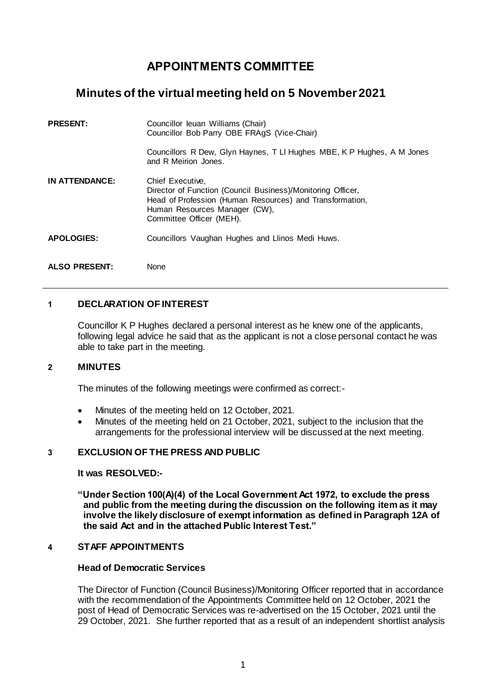# **APPOINTMENTS COMMITTEE**

## **Minutes of the virtual meeting held on 5 November 2021**

| <b>PRESENT:</b>       | Councillor leuan Williams (Chair)<br>Councillor Bob Parry OBE FRAgS (Vice-Chair)                                                                                                                         |
|-----------------------|----------------------------------------------------------------------------------------------------------------------------------------------------------------------------------------------------------|
|                       | Councillors R Dew, Glyn Haynes, T LI Hughes MBE, K P Hughes, A M Jones<br>and R Meirion Jones.                                                                                                           |
| <b>IN ATTENDANCE:</b> | Chief Executive.<br>Director of Function (Council Business)/Monitoring Officer,<br>Head of Profession (Human Resources) and Transformation,<br>Human Resources Manager (CW),<br>Committee Officer (MEH). |
| <b>APOLOGIES:</b>     | Councillors Vaughan Hughes and Llinos Medi Huws.                                                                                                                                                         |
| <b>ALSO PRESENT:</b>  | None                                                                                                                                                                                                     |

## **1 DECLARATION OF INTEREST**

Councillor K P Hughes declared a personal interest as he knew one of the applicants, following legal advice he said that as the applicant is not a close personal contact he was able to take part in the meeting.

### **2 MINUTES**

The minutes of the following meetings were confirmed as correct:-

- Minutes of the meeting held on 12 October, 2021.
- Minutes of the meeting held on 21 October, 2021, subject to the inclusion that the arrangements for the professional interview will be discussed at the next meeting.

## **3 EXCLUSION OF THE PRESS AND PUBLIC**

#### **It was RESOLVED:-**

**"Under Section 100(A)(4) of the Local Government Act 1972, to exclude the press and public from the meeting during the discussion on the following item as it may involve the likely disclosure of exempt information as defined in Paragraph 12A of the said Act and in the attached Public Interest Test."**

#### **4 STAFF APPOINTMENTS**

#### **Head of Democratic Services**

The Director of Function (Council Business)/Monitoring Officer reported that in accordance with the recommendation of the Appointments Committee held on 12 October, 2021 the post of Head of Democratic Services was re-advertised on the 15 October, 2021 until the 29 October, 2021. She further reported that as a result of an independent shortlist analysis